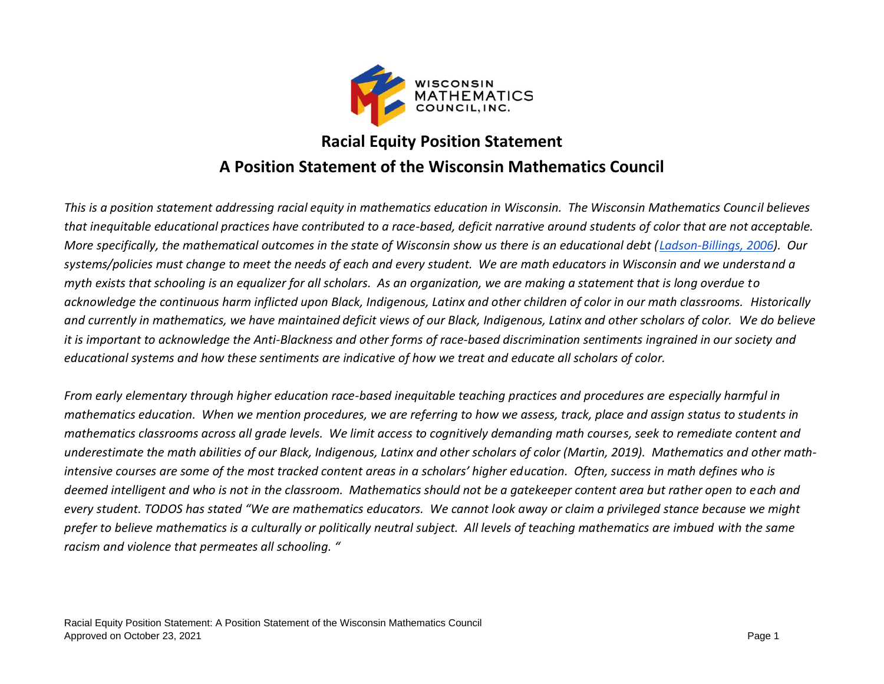

## **Racial Equity Position Statement A Position Statement of the Wisconsin Mathematics Council**

*This is a position statement addressing racial equity in mathematics education in Wisconsin. The Wisconsin Mathematics Council believes that inequitable educational practices have contributed to a race-based, deficit narrative around students of color that are not acceptable. More specifically, the mathematical outcomes in the state of Wisconsin show us there is an educational debt [\(Ladson-Billings, 2006\)](https://thrive.arizona.edu/sites/default/files/From%20the%20Achievement%20Gap%20to%20the%20Education%20Debt_Understanding%20Achievement%20in%20US%20Schools.pdf). Our systems/policies must change to meet the needs of each and every student. We are math educators in Wisconsin and we understand a myth exists that schooling is an equalizer for all scholars. As an organization, we are making a statement that is long overdue to acknowledge the continuous harm inflicted upon Black, Indigenous, Latinx and other children of color in our math classrooms. Historically and currently in mathematics, we have maintained deficit views of our Black, Indigenous, Latinx and other scholars of color. We do believe it is important to acknowledge the Anti-Blackness and other forms of race-based discrimination sentiments ingrained in our society and educational systems and how these sentiments are indicative of how we treat and educate all scholars of color.* 

*From early elementary through higher education race-based inequitable teaching practices and procedures are especially harmful in mathematics education. When we mention procedures, we are referring to how we assess, track, place and assign status to students in mathematics classrooms across all grade levels. We limit access to cognitively demanding math courses, seek to remediate content and underestimate the math abilities of our Black, Indigenous, Latinx and other scholars of color (Martin, 2019). Mathematics and other mathintensive courses are some of the most tracked content areas in a scholars' higher education. Often, success in math defines who is deemed intelligent and who is not in the classroom. Mathematics should not be a gatekeeper content area but rather open to each and every student. TODOS has stated "We are mathematics educators. We cannot look away or claim a privileged stance because we might prefer to believe mathematics is a culturally or politically neutral subject. All levels of teaching mathematics are imbued with the same racism and violence that permeates all schooling. "*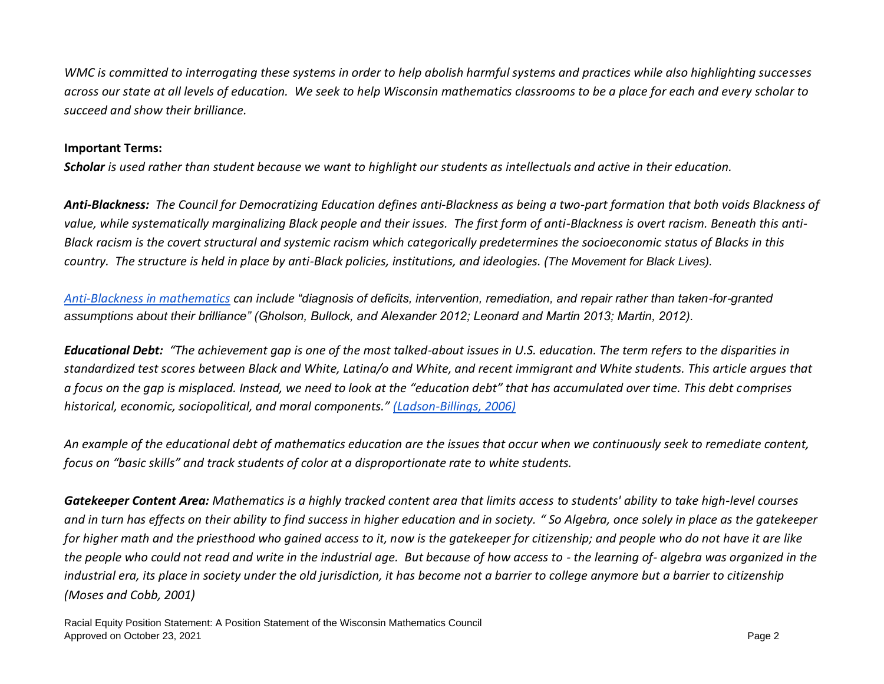*WMC is committed to interrogating these systems in order to help abolish harmful systems and practices while also highlighting successes across our state at all levels of education. We seek to help Wisconsin mathematics classrooms to be a place for each and every scholar to succeed and show their brilliance.*

## **Important Terms:**

*Scholar is used rather than student because we want to highlight our students as intellectuals and active in their education.* 

*Anti-Blackness: The Council for Democratizing Education defines anti-Blackness as being a two-part formation that both voids Blackness of value, while systematically marginalizing Black people and their issues. The first form of anti-Blackness is overt racism. Beneath this anti-Black racism is the covert structural and systemic racism which categorically predetermines the socioeconomic status of Blacks in this country. The structure is held in place by anti-Black policies, institutions, and ideologies. (The Movement for Black Lives).*

*[Anti-Blackness in mathematics](https://www.researchgate.net/publication/332733778_Equity_inclusion_and_antiblackness_in_mathematics_education) can include "diagnosis of deficits, intervention, remediation, and repair rather than taken-for-granted assumptions about their brilliance" (Gholson, Bullock, and Alexander 2012; Leonard and Martin 2013; Martin, 2012).* 

*Educational Debt: "The achievement gap is one of the most talked-about issues in U.S. education. The term refers to the disparities in standardized test scores between Black and White, Latina/o and White, and recent immigrant and White students. This article argues that a focus on the gap is misplaced. Instead, we need to look at the "education debt" that has accumulated over time. This debt comprises historical, economic, sociopolitical, and moral components." [\(Ladson-Billings, 2006\)](http://hillkm.com/yahoo_site_admin/assets/docs/LadsonBillings2006AchievementDebt_Annotated.pdf)*

*An example of the educational debt of mathematics education are the issues that occur when we continuously seek to remediate content, focus on "basic skills" and track students of color at a disproportionate rate to white students.*

*Gatekeeper Content Area: Mathematics is a highly tracked content area that limits access to students' ability to take high-level courses and in turn has effects on their ability to find success in higher education and in society. " So Algebra, once solely in place as the gatekeeper for higher math and the priesthood who gained access to it, now is the gatekeeper for citizenship; and people who do not have it are like the people who could not read and write in the industrial age. But because of how access to - the learning of- algebra was organized in the industrial era, its place in society under the old jurisdiction, it has become not a barrier to college anymore but a barrier to citizenship (Moses and Cobb, 2001)*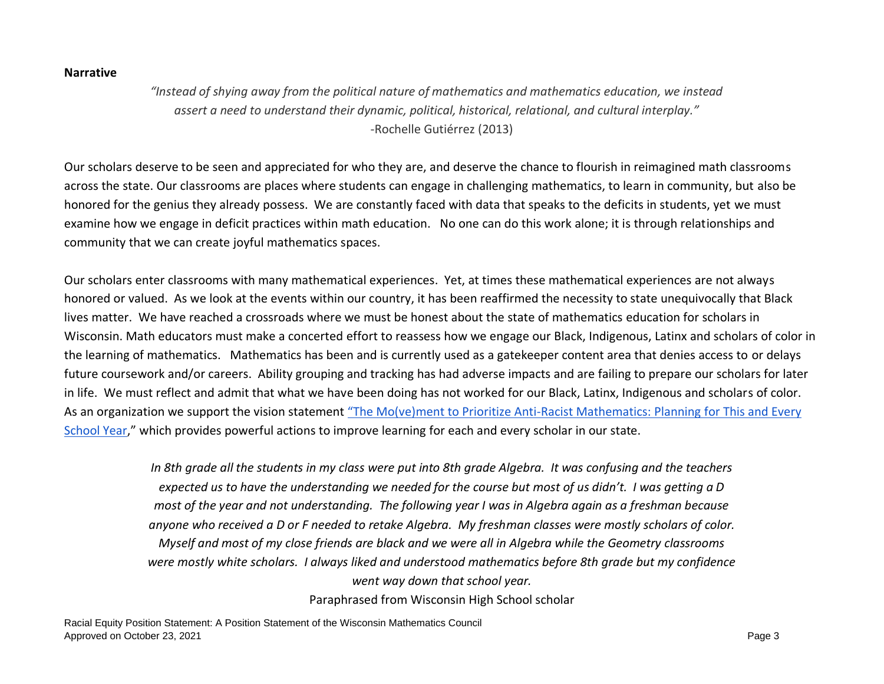## **Narrative**

*"Instead of shying away from the political nature of mathematics and mathematics education, we instead assert a need to understand their dynamic, political, historical, relational, and cultural interplay."* -Rochelle Gutiérrez (2013)

Our scholars deserve to be seen and appreciated for who they are, and deserve the chance to flourish in reimagined math classrooms across the state. Our classrooms are places where students can engage in challenging mathematics, to learn in community, but also be honored for the genius they already possess. We are constantly faced with data that speaks to the deficits in students, yet we must examine how we engage in deficit practices within math education. No one can do this work alone; it is through relationships and community that we can create joyful mathematics spaces.

Our scholars enter classrooms with many mathematical experiences. Yet, at times these mathematical experiences are not always honored or valued. As we look at the events within our country, it has been reaffirmed the necessity to state unequivocally that Black lives matter. We have reached a crossroads where we must be honest about the state of mathematics education for scholars in Wisconsin. Math educators must make a concerted effort to reassess how we engage our Black, Indigenous, Latinx and scholars of color in the learning of mathematics. Mathematics has been and is currently used as a gatekeeper content area that denies access to or delays future coursework and/or careers. Ability grouping and tracking has had adverse impacts and are failing to prepare our scholars for later in life. We must reflect and admit that what we have been doing has not worked for our Black, Latinx, Indigenous and scholars of color. As an organization we support the vision statement "The Mo(ve)ment to Prioritize Anti-Racist Mathematics: Planning for This and Every [School Year](https://www.todos-math.org/assets/The%20Movement%20to%20Prioritize%20Antiracist%20Mathematics%20Ed%20by%20TODOS%20June%202020.edited.pdf)," which provides powerful actions to improve learning for each and every scholar in our state.

> *In 8th grade all the students in my class were put into 8th grade Algebra. It was confusing and the teachers expected us to have the understanding we needed for the course but most of us didn't. I was getting a D most of the year and not understanding. The following year I was in Algebra again as a freshman because anyone who received a D or F needed to retake Algebra. My freshman classes were mostly scholars of color. Myself and most of my close friends are black and we were all in Algebra while the Geometry classrooms were mostly white scholars. I always liked and understood mathematics before 8th grade but my confidence went way down that school year.*

Paraphrased from Wisconsin High School scholar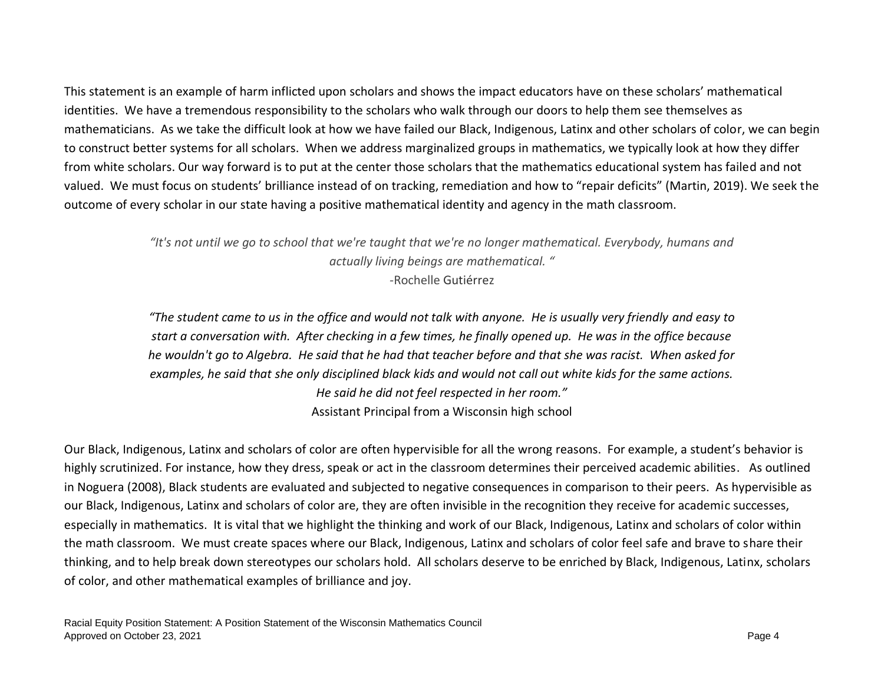This statement is an example of harm inflicted upon scholars and shows the impact educators have on these scholars' mathematical identities. We have a tremendous responsibility to the scholars who walk through our doors to help them see themselves as mathematicians. As we take the difficult look at how we have failed our Black, Indigenous, Latinx and other scholars of color, we can begin to construct better systems for all scholars. When we address marginalized groups in mathematics, we typically look at how they differ from white scholars. Our way forward is to put at the center those scholars that the mathematics educational system has failed and not valued. We must focus on students' brilliance instead of on tracking, remediation and how to "repair deficits" (Martin, 2019). We seek the outcome of every scholar in our state having a positive mathematical identity and agency in the math classroom.

> *"It's not until we go to school that we're taught that we're no longer mathematical. Everybody, humans and actually living beings are mathematical. " -*Rochelle Gutiérrez

> *"The student came to us in the office and would not talk with anyone. He is usually very friendly and easy to start a conversation with. After checking in a few times, he finally opened up. He was in the office because he wouldn't go to Algebra. He said that he had that teacher before and that she was racist. When asked for examples, he said that she only disciplined black kids and would not call out white kids for the same actions. He said he did not feel respected in her room."*  Assistant Principal from a Wisconsin high school

Our Black, Indigenous, Latinx and scholars of color are often hypervisible for all the wrong reasons. For example, a student's behavior is highly scrutinized. For instance, how they dress, speak or act in the classroom determines their perceived academic abilities. As outlined in Noguera (2008), Black students are evaluated and subjected to negative consequences in comparison to their peers. As hypervisible as our Black, Indigenous, Latinx and scholars of color are, they are often invisible in the recognition they receive for academic successes, especially in mathematics. It is vital that we highlight the thinking and work of our Black, Indigenous, Latinx and scholars of color within the math classroom. We must create spaces where our Black, Indigenous, Latinx and scholars of color feel safe and brave to share their thinking, and to help break down stereotypes our scholars hold. All scholars deserve to be enriched by Black, Indigenous, Latinx, scholars of color, and other mathematical examples of brilliance and joy.